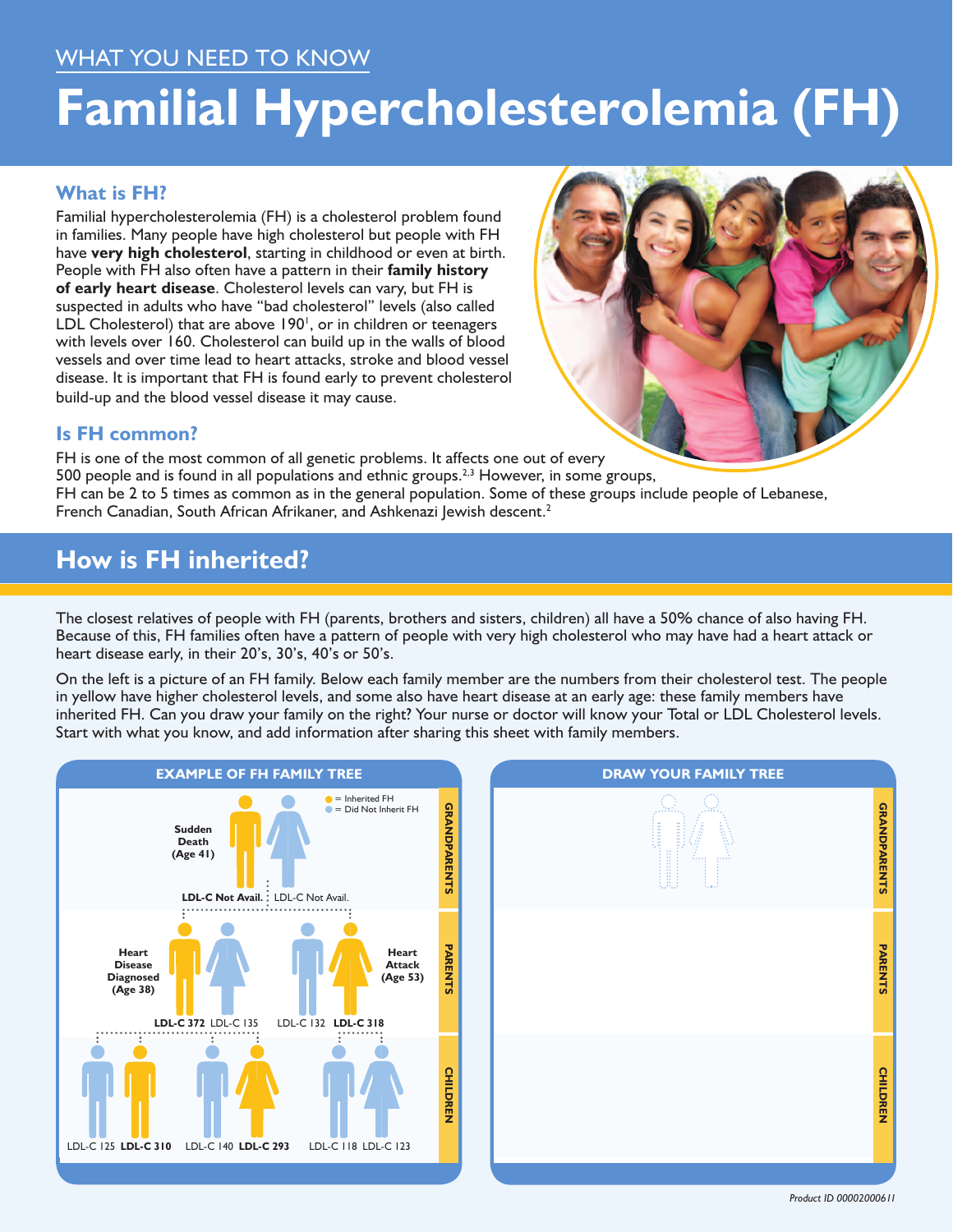### What you need to know

# **Familial Hypercholesterolemia (FH)**

#### **What is FH?**

Familial hypercholesterolemia (FH) is a cholesterol problem found in families. Many people have high cholesterol but people with FH have **very high cholesterol**, starting in childhood or even at birth. People with FH also often have a pattern in their **family history of early heart disease**. Cholesterol levels can vary, but FH is suspected in adults who have "bad cholesterol" levels (also called LDL Cholesterol) that are above 190<sup>1</sup>, or in children or teenagers with levels over 160. Cholesterol can build up in the walls of blood vessels and over time lead to heart attacks, stroke and blood vessel disease. It is important that FH is found early to prevent cholesterol build-up and the blood vessel disease it may cause.



#### **Is FH common?**

FH is one of the most common of all genetic problems. It affects one out of every 500 people and is found in all populations and ethnic groups.<sup>2,3</sup> However, in some groups, FH can be 2 to 5 times as common as in the general population. Some of these groups include people of Lebanese, French Canadian, South African Afrikaner, and Ashkenazi Jewish descent.<sup>2</sup>

## **How is FH inherited?**

The closest relatives of people with FH (parents, brothers and sisters, children) all have a 50% chance of also having FH. Because of this, FH families often have a pattern of people with very high cholesterol who may have had a heart attack or heart disease early, in their 20's, 30's, 40's or 50's.

On the left is a picture of an FH family. Below each family member are the numbers from their cholesterol test. The people in yellow have higher cholesterol levels, and some also have heart disease at an early age: these family members have inherited FH. Can you draw your family on the right? Your nurse or doctor will know your Total or LDL Cholesterol levels. Start with what you know, and add information after sharing this sheet with family members.